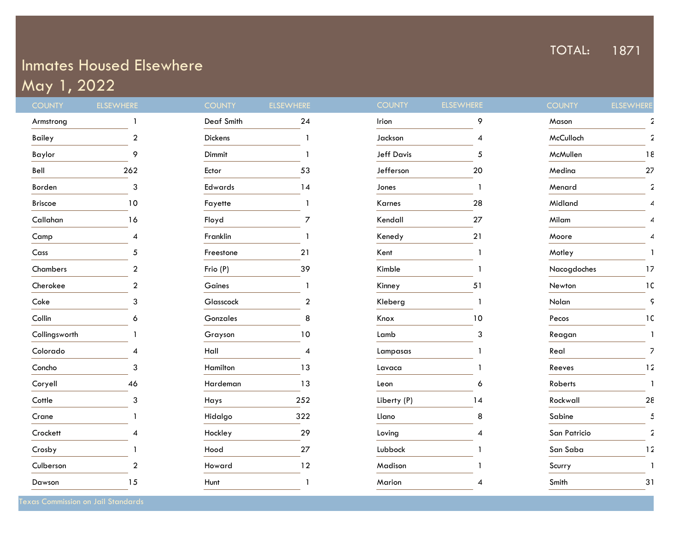## TOTAL: 1871

## Inmates Housed Elsewhere May 1, 2022

| <b>COUNTY</b>  | <b>ELSEWHERE</b>         | <b>COUNTY</b> | <b>ELSEWHERE</b> | <b>COUNTY</b>     | ELSEWHERE | <b>COUNTY</b> | <b>ELSEWHERE</b> |
|----------------|--------------------------|---------------|------------------|-------------------|-----------|---------------|------------------|
| Armstrong      |                          | Deaf Smith    | 24               | Irion             | 9         | Mason         |                  |
| Bailey         | $\overline{2}$           | Dickens       |                  | Jackson           | 4         | McCulloch     |                  |
| Baylor         | 9                        | Dimmit        |                  | <b>Jeff Davis</b> | 5         | McMullen      | 18               |
| Bell           | 262                      | Ector         | 53               | Jefferson         | 20        | Medina        | 27               |
| Borden         | 3                        | Edwards       | 14               | Jones             |           | Menard        | 2                |
| <b>Briscoe</b> | 10                       | Fayette       |                  | Karnes            | 28        | Midland       | ⊿                |
| Callahan       | 16                       | Floyd         | $\overline{7}$   | Kendall           | 27        | Milam         |                  |
| Camp           | $\overline{\mathcal{A}}$ | Franklin      |                  | Kenedy            | 21        | Moore         | ⊿                |
| Cass           | 5                        | Freestone     | 21               | Kent              |           | Motley        |                  |
| Chambers       | $\overline{2}$           | Frio (P)      | 39               | Kimble            |           | Nacogdoches   | 17               |
| Cherokee       | $\overline{2}$           | Gaines        |                  | Kinney            | 51        | Newton        | 1C               |
| Coke           | 3                        | Glasscock     | $\overline{2}$   | Kleberg           |           | Nolan         | ς                |
| Collin         | 6                        | Gonzales      | 8                | Knox              | 10        | Pecos         | 1C               |
| Collingsworth  |                          | Grayson       | 10               | Lamb              | 3         | Reagan        |                  |
| Colorado       |                          | Hall          | 4                | Lampasas          |           | Real          | 7                |
| Concho         | 3                        | Hamilton      | 13               | Lavaca            |           | Reeves        | 12               |
| Coryell        | 46                       | Hardeman      | 13               | Leon              | 6         | Roberts       |                  |
| Cottle         | 3                        | Hays          | 252              | Liberty (P)       | 14        | Rockwall      | 28               |
| Crane          |                          | Hidalgo       | 322              | Llano             | 8         | Sabine        | 5                |
| Crockett       |                          | Hockley       | 29               | Loving            | 4         | San Patricio  | $\overline{2}$   |
| Crosby         |                          | Hood          | 27               | Lubbock           |           | San Saba      | 12               |
| Culberson      | $\overline{a}$           | Howard        | 12               | Madison           |           | Scurry        |                  |
| Dawson         | 15                       | Hunt          |                  | Marion            | ⊿         | Smith         | 31               |